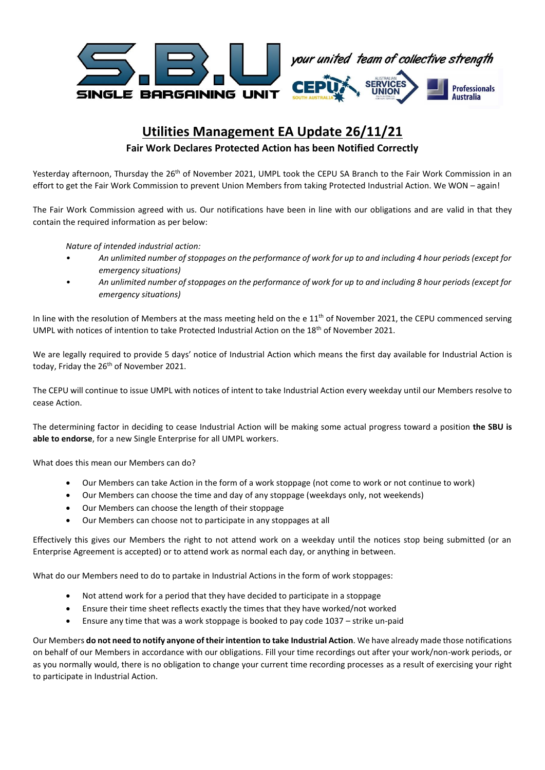

# **Utilities Management EA Update 26/11/21**

### **Fair Work Declares Protected Action has been Notified Correctly**

Yesterday afternoon, Thursday the 26<sup>th</sup> of November 2021, UMPL took the CEPU SA Branch to the Fair Work Commission in an effort to get the Fair Work Commission to prevent Union Members from taking Protected Industrial Action. We WON – again!

The Fair Work Commission agreed with us. Our notifications have been in line with our obligations and are valid in that they contain the required information as per below:

*Nature of intended industrial action:* 

- *• An unlimited number of stoppages on the performance of work for up to and including 4 hour periods (except for emergency situations)*
- *• An unlimited number of stoppages on the performance of work for up to and including 8 hour periods (except for emergency situations)*

In line with the resolution of Members at the mass meeting held on the e  $11<sup>th</sup>$  of November 2021, the CEPU commenced serving UMPL with notices of intention to take Protected Industrial Action on the 18<sup>th</sup> of November 2021.

We are legally required to provide 5 days' notice of Industrial Action which means the first day available for Industrial Action is today, Friday the 26<sup>th</sup> of November 2021.

The CEPU will continue to issue UMPL with notices of intent to take Industrial Action every weekday until our Members resolve to cease Action.

The determining factor in deciding to cease Industrial Action will be making some actual progress toward a position **the SBU is able to endorse**, for a new Single Enterprise for all UMPL workers.

What does this mean our Members can do?

- Our Members can take Action in the form of a work stoppage (not come to work or not continue to work)
- Our Members can choose the time and day of any stoppage (weekdays only, not weekends)
- Our Members can choose the length of their stoppage
- Our Members can choose not to participate in any stoppages at all

Effectively this gives our Members the right to not attend work on a weekday until the notices stop being submitted (or an Enterprise Agreement is accepted) or to attend work as normal each day, or anything in between.

What do our Members need to do to partake in Industrial Actions in the form of work stoppages:

- Not attend work for a period that they have decided to participate in a stoppage
- Ensure their time sheet reflects exactly the times that they have worked/not worked
- Ensure any time that was a work stoppage is booked to pay code 1037 strike un-paid

Our Members **do not need to notify anyone of their intention to take Industrial Action**. We have already made those notifications on behalf of our Members in accordance with our obligations. Fill your time recordings out after your work/non-work periods, or as you normally would, there is no obligation to change your current time recording processes as a result of exercising your right to participate in Industrial Action.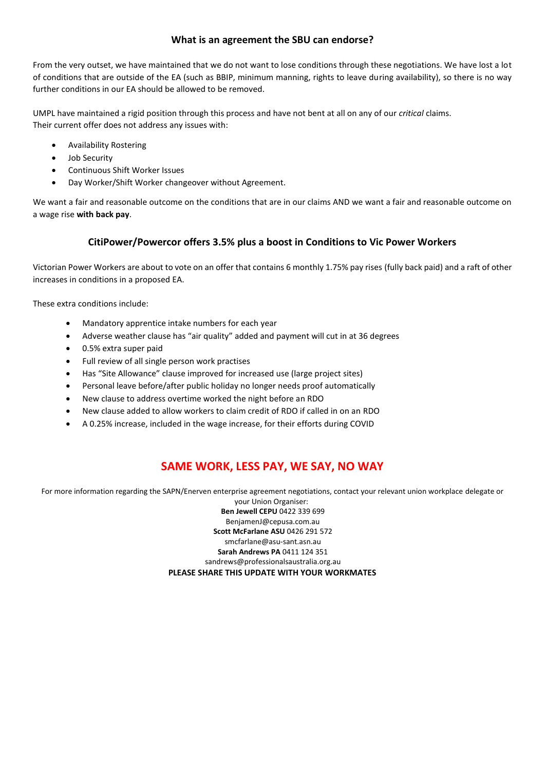### **What is an agreement the SBU can endorse?**

From the very outset, we have maintained that we do not want to lose conditions through these negotiations. We have lost a lot of conditions that are outside of the EA (such as BBIP, minimum manning, rights to leave during availability), so there is no way further conditions in our EA should be allowed to be removed.

UMPL have maintained a rigid position through this process and have not bent at all on any of our *critical* claims. Their current offer does not address any issues with:

- Availability Rostering
- Job Security
- Continuous Shift Worker Issues
- Day Worker/Shift Worker changeover without Agreement.

We want a fair and reasonable outcome on the conditions that are in our claims AND we want a fair and reasonable outcome on a wage rise **with back pay**.

## **CitiPower/Powercor offers 3.5% plus a boost in Conditions to Vic Power Workers**

Victorian Power Workers are about to vote on an offer that contains 6 monthly 1.75% pay rises (fully back paid) and a raft of other increases in conditions in a proposed EA.

These extra conditions include:

- Mandatory apprentice intake numbers for each year
- Adverse weather clause has "air quality" added and payment will cut in at 36 degrees
- 0.5% extra super paid
- Full review of all single person work practises
- Has "Site Allowance" clause improved for increased use (large project sites)
- Personal leave before/after public holiday no longer needs proof automatically
- New clause to address overtime worked the night before an RDO
- New clause added to allow workers to claim credit of RDO if called in on an RDO
- A 0.25% increase, included in the wage increase, for their efforts during COVID

# **SAME WORK, LESS PAY, WE SAY, NO WAY**

For more information regarding the SAPN/Enerven enterprise agreement negotiations, contact your relevant union workplace delegate or

your Union Organiser: **Ben Jewell CEPU** 0422 339 699 BenjamenJ@cepusa.com.au **Scott McFarlane ASU** 0426 291 572 smcfarlane@asu-sant.asn.au **Sarah Andrews PA** 0411 124 351 sandrews@professionalsaustralia.org.au **PLEASE SHARE THIS UPDATE WITH YOUR WORKMATES**